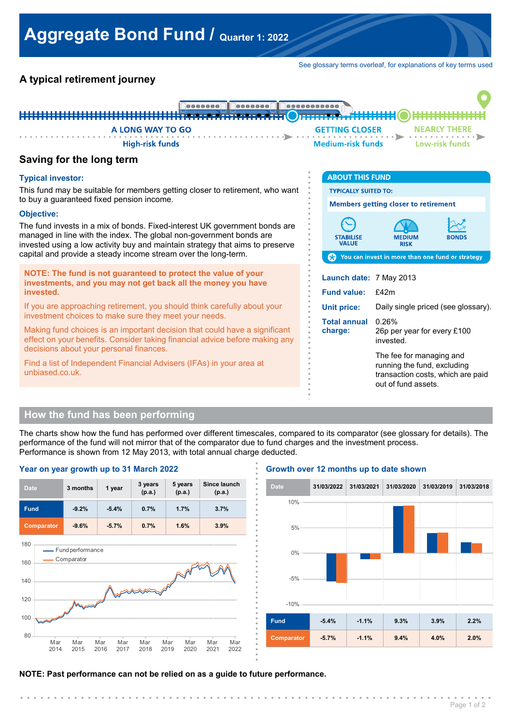See glossary terms overleaf, for explanations of key terms used

# **A typical retirement journey**



**. . . . . . . . . . . . . . . .**

**. . . . . . . . . . . . . . . .**

**. . . . . . . . . . . . . . . .**

# **Saving for the long term**

### **Typical investor:**

This fund may be suitable for members getting closer to retirement, who want to buy a guaranteed fixed pension income.

#### **Objective:**

The fund invests in a mix of bonds. Fixed-interest UK government bonds are managed in line with the index. The global non-government bonds are invested using a low activity buy and maintain strategy that aims to preserve capital and provide a steady income stream over the long-term.

**NOTE: The fund is not guaranteed to protect the value of your investments, and you may not get back all the money you have invested.**

If you are approaching retirement, you should think carefully about your investment choices to make sure they meet your needs.

Making fund choices is an important decision that could have a significant effect on your benefits. Consider taking financial advice before making any decisions about your personal finances.

Find a list of Independent Financial Advisers (IFAs) in your area at unbiased.co.uk.

| <b>ABOUT THIS FUND</b>                                                          |                                                                                                                     |       |  |
|---------------------------------------------------------------------------------|---------------------------------------------------------------------------------------------------------------------|-------|--|
| <b>TYPICALLY SUITED TO:</b>                                                     |                                                                                                                     |       |  |
| <b>Members getting closer to retirement</b>                                     |                                                                                                                     |       |  |
| <b>STABILISE</b><br><b>VALUE</b>                                                | MEDIUM<br><b>RISK</b>                                                                                               | BONDS |  |
| <b>Comparent Set of Set 10 You can invest in more than one fund or strategy</b> |                                                                                                                     |       |  |
| Launch date: 7 May 2013                                                         |                                                                                                                     |       |  |
| <b>Fund value:</b>                                                              | f42m                                                                                                                |       |  |
| <b>Unit price:</b>                                                              | Daily single priced (see glossary).                                                                                 |       |  |
| Total annual<br>charge:                                                         | 0.26%<br>26p per year for every £100<br>invested.                                                                   |       |  |
|                                                                                 | The fee for managing and<br>running the fund, excluding<br>transaction costs, which are paid<br>out of fund assets. |       |  |

## **How the fund has been performing**

The charts show how the fund has performed over different timescales, compared to its comparator (see glossary for details). The performance of the fund will not mirror that of the comparator due to fund charges and the investment process. Performance is shown from 12 May 2013, with total annual charge deducted. **.**



#### **Growth over 12 months up to date shown**



#### **NOTE: Past performance can not be relied on as a guide to future performance.**